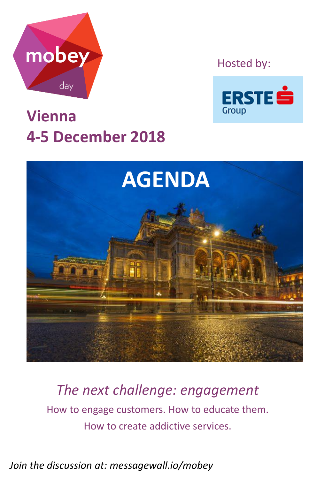

Hosted by:



## **Vienna 4-5 December 2018**



*The next challenge: engagement* How to engage customers. How to educate them.

How to create addictive services.

*Join the discussion at: messagewall.io/mobey*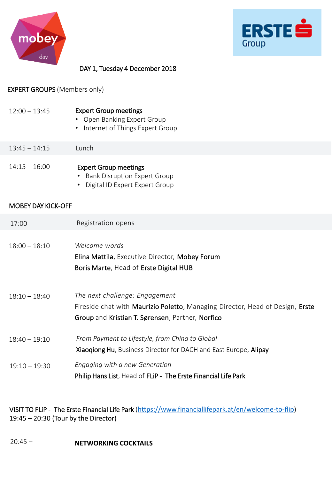



## DAY 1, Tuesday 4 December 2018

## EXPERT GROUPS (Members only)

| $12:00 - 13:45$           | <b>Expert Group meetings</b><br><b>Open Banking Expert Group</b><br>Internet of Things Expert Group<br>$\bullet$                                                    |  |
|---------------------------|---------------------------------------------------------------------------------------------------------------------------------------------------------------------|--|
| $13:45 - 14:15$           | Lunch                                                                                                                                                               |  |
| $14:15 - 16:00$           | <b>Expert Group meetings</b><br><b>Bank Disruption Expert Group</b><br>Digital ID Expert Expert Group                                                               |  |
| <b>MOBEY DAY KICK-OFF</b> |                                                                                                                                                                     |  |
| 17:00                     | Registration opens                                                                                                                                                  |  |
| $18:00 - 18:10$           | Welcome words<br>Elina Mattila, Executive Director, Mobey Forum<br>Boris Marte, Head of Erste Digital HUB                                                           |  |
| $18:10 - 18:40$           | The next challenge: Engagement<br>Fireside chat with Maurizio Poletto, Managing Director, Head of Design, Erste<br>Group and Kristian T. Sørensen, Partner, Norfico |  |
| $18:40 - 19:10$           | From Payment to Lifestyle, from China to Global<br>Xiaoqiong Hu, Business Director for DACH and East Europe, Alipay                                                 |  |
| $19:10 - 19:30$           | Engaging with a new Generation<br>Philip Hans List, Head of FLiP - The Erste Financial Life Park                                                                    |  |

VISIT TO FLiP - The Erste Financial Life Park ([https://www.financiallifepark.at/en/welcome-to-flip\)](https://www.financiallifepark.at/en/welcome-to-flip) 19:45 – 20:30 (Tour by the Director)